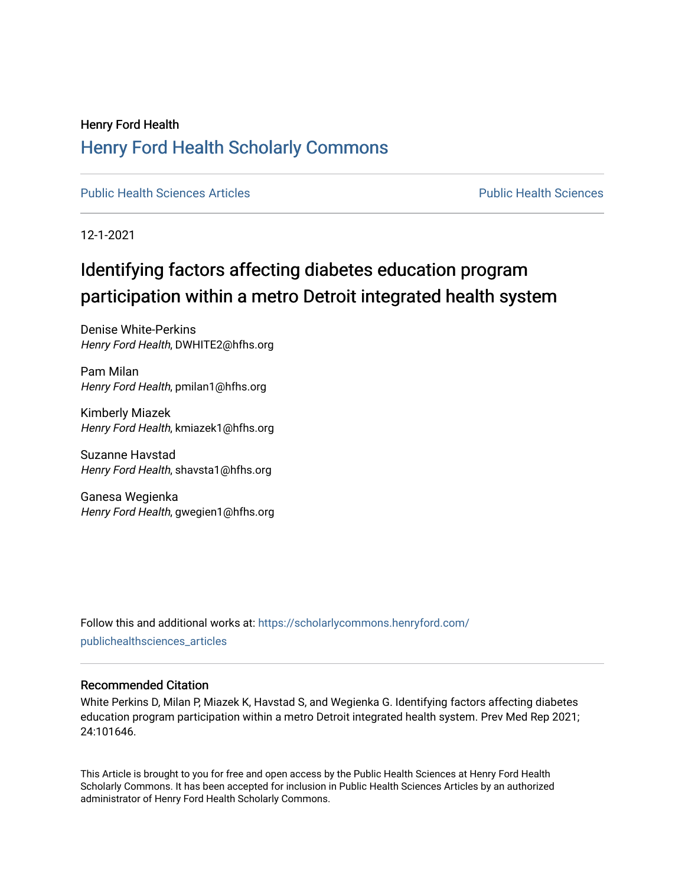# Henry Ford Health [Henry Ford Health Scholarly Commons](https://scholarlycommons.henryford.com/)

[Public Health Sciences Articles](https://scholarlycommons.henryford.com/publichealthsciences_articles) [Public Health Sciences](https://scholarlycommons.henryford.com/publichealthsciences) 

12-1-2021

# Identifying factors affecting diabetes education program participation within a metro Detroit integrated health system

Denise White-Perkins Henry Ford Health, DWHITE2@hfhs.org

Pam Milan Henry Ford Health, pmilan1@hfhs.org

Kimberly Miazek Henry Ford Health, kmiazek1@hfhs.org

Suzanne Havstad Henry Ford Health, shavsta1@hfhs.org

Ganesa Wegienka Henry Ford Health, gwegien1@hfhs.org

Follow this and additional works at: [https://scholarlycommons.henryford.com/](https://scholarlycommons.henryford.com/publichealthsciences_articles?utm_source=scholarlycommons.henryford.com%2Fpublichealthsciences_articles%2F298&utm_medium=PDF&utm_campaign=PDFCoverPages) [publichealthsciences\\_articles](https://scholarlycommons.henryford.com/publichealthsciences_articles?utm_source=scholarlycommons.henryford.com%2Fpublichealthsciences_articles%2F298&utm_medium=PDF&utm_campaign=PDFCoverPages) 

### Recommended Citation

White Perkins D, Milan P, Miazek K, Havstad S, and Wegienka G. Identifying factors affecting diabetes education program participation within a metro Detroit integrated health system. Prev Med Rep 2021; 24:101646.

This Article is brought to you for free and open access by the Public Health Sciences at Henry Ford Health Scholarly Commons. It has been accepted for inclusion in Public Health Sciences Articles by an authorized administrator of Henry Ford Health Scholarly Commons.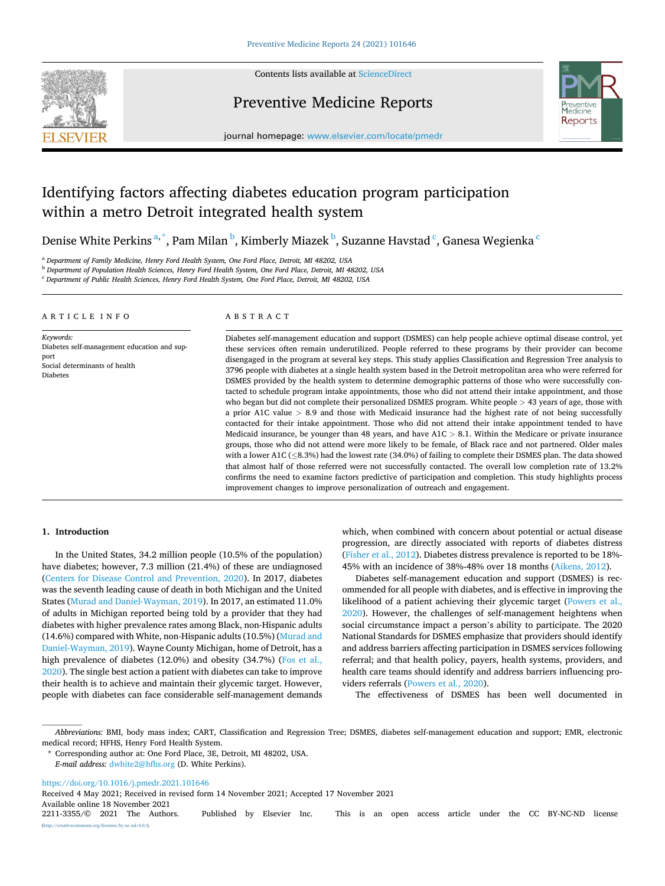

Contents lists available at [ScienceDirect](www.sciencedirect.com/science/journal/22113355)

## Preventive Medicine Reports



journal homepage: [www.elsevier.com/locate/pmedr](https://www.elsevier.com/locate/pmedr) 

## Identifying factors affecting diabetes education program participation within a metro Detroit integrated health system

Denise White Perkins <sup>a, \*</sup>, Pam Milan <sup>b</sup>, Kimberly Miazek <sup>b</sup>, Suzanne Havstad <sup>c</sup>, Ganesa Wegienka <sup>c</sup>

<sup>a</sup> *Department of Family Medicine, Henry Ford Health System, One Ford Place, Detroit, MI 48202, USA* 

<sup>b</sup> *Department of Population Health Sciences, Henry Ford Health System, One Ford Place, Detroit, MI 48202, USA* 

<sup>c</sup> *Department of Public Health Sciences, Henry Ford Health System, One Ford Place, Detroit, MI 48202, USA* 

#### ARTICLE INFO

#### ABSTRACT

*Keywords:*  Diabetes self-management education and support Social determinants of health Diabetes

Diabetes self-management education and support (DSMES) can help people achieve optimal disease control, yet these services often remain underutilized. People referred to these programs by their provider can become disengaged in the program at several key steps. This study applies Classification and Regression Tree analysis to 3796 people with diabetes at a single health system based in the Detroit metropolitan area who were referred for DSMES provided by the health system to determine demographic patterns of those who were successfully contacted to schedule program intake appointments, those who did not attend their intake appointment, and those who began but did not complete their personalized DSMES program. White people *>* 43 years of age, those with a prior A1C value *>* 8.9 and those with Medicaid insurance had the highest rate of not being successfully contacted for their intake appointment. Those who did not attend their intake appointment tended to have Medicaid insurance, be younger than 48 years, and have A1C *>* 8.1. Within the Medicare or private insurance groups, those who did not attend were more likely to be female, of Black race and not partnered. Older males with a lower A1C (≤8.3%) had the lowest rate (34.0%) of failing to complete their DSMES plan. The data showed that almost half of those referred were not successfully contacted. The overall low completion rate of 13.2% confirms the need to examine factors predictive of participation and completion. This study highlights process improvement changes to improve personalization of outreach and engagement.

#### **1. Introduction**

In the United States, 34.2 million people (10.5% of the population) have diabetes; however, 7.3 million (21.4%) of these are undiagnosed ([Centers for Disease Control and Prevention, 2020](#page-8-0)). In 2017, diabetes was the seventh leading cause of death in both Michigan and the United States [\(Murad and Daniel-Wayman, 2019\)](#page-8-0). In 2017, an estimated 11.0% of adults in Michigan reported being told by a provider that they had diabetes with higher prevalence rates among Black, non-Hispanic adults (14.6%) compared with White, non-Hispanic adults (10.5%) ([Murad and](#page-8-0)  [Daniel-Wayman, 2019\)](#page-8-0). Wayne County Michigan, home of Detroit, has a high prevalence of diabetes (12.0%) and obesity (34.7%) ([Fos et al.,](#page-8-0)  [2020\)](#page-8-0). The single best action a patient with diabetes can take to improve their health is to achieve and maintain their glycemic target. However, people with diabetes can face considerable self-management demands

which, when combined with concern about potential or actual disease progression, are directly associated with reports of diabetes distress ([Fisher et al., 2012\)](#page-8-0). Diabetes distress prevalence is reported to be 18%- 45% with an incidence of 38%-48% over 18 months ([Aikens, 2012](#page-8-0)).

Diabetes self-management education and support (DSMES) is recommended for all people with diabetes, and is effective in improving the likelihood of a patient achieving their glycemic target ([Powers et al.,](#page-8-0)  [2020\)](#page-8-0). However, the challenges of self-management heightens when social circumstance impact a person's ability to participate. The 2020 National Standards for DSMES emphasize that providers should identify and address barriers affecting participation in DSMES services following referral; and that health policy, payers, health systems, providers, and health care teams should identify and address barriers influencing pro-viders referrals [\(Powers et al., 2020](#page-8-0)).

The effectiveness of DSMES has been well documented in

<https://doi.org/10.1016/j.pmedr.2021.101646>

Received 4 May 2021; Received in revised form 14 November 2021; Accepted 17 November 2021

Available online 18 November 2021<br>2211-3355/© 2021 The Authors.

*Abbreviations:* BMI, body mass index; CART, Classification and Regression Tree; DSMES, diabetes self-management education and support; EMR, electronic medical record; HFHS, Henry Ford Health System.

<sup>\*</sup> Corresponding author at: One Ford Place, 3E, Detroit, MI 48202, USA.

*E-mail address:* [dwhite2@hfhs.org](mailto:dwhite2@hfhs.org) (D. White Perkins).

<sup>2211-3355/© 2021</sup> The Authors. Published by Elsevier Inc. This is an open access article under the CC BY-NC-ND license (a).org/licenses/by-nc-nd/4.0/).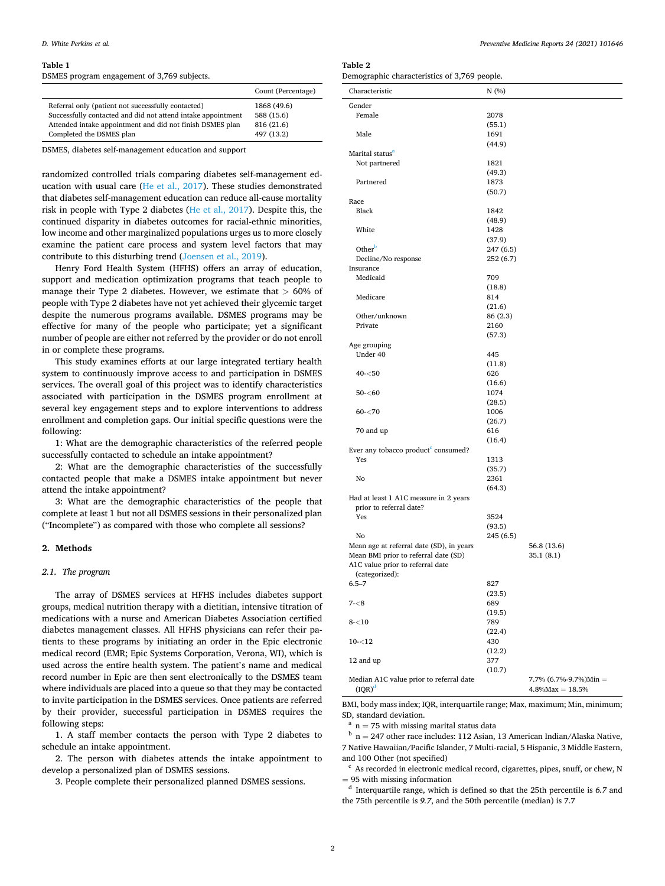<span id="page-2-0"></span>DSMES program engagement of 3,769 subjects.

|                                                              | Count (Percentage) |
|--------------------------------------------------------------|--------------------|
| Referral only (patient not successfully contacted)           | 1868 (49.6)        |
| Successfully contacted and did not attend intake appointment | 588 (15.6)         |
| Attended intake appointment and did not finish DSMES plan    | 816 (21.6)         |
| Completed the DSMES plan                                     | 497 (13.2)         |

DSMES, diabetes self-management education and support

randomized controlled trials comparing diabetes self-management education with usual care ([He et al., 2017\)](#page-8-0). These studies demonstrated that diabetes self-management education can reduce all-cause mortality risk in people with Type 2 diabetes ([He et al., 2017\)](#page-8-0). Despite this, the continued disparity in diabetes outcomes for racial-ethnic minorities, low income and other marginalized populations urges us to more closely examine the patient care process and system level factors that may contribute to this disturbing trend ([Joensen et al., 2019](#page-8-0)).

Henry Ford Health System (HFHS) offers an array of education, support and medication optimization programs that teach people to manage their Type 2 diabetes. However, we estimate that *>* 60% of people with Type 2 diabetes have not yet achieved their glycemic target despite the numerous programs available. DSMES programs may be effective for many of the people who participate; yet a significant number of people are either not referred by the provider or do not enroll in or complete these programs.

This study examines efforts at our large integrated tertiary health system to continuously improve access to and participation in DSMES services. The overall goal of this project was to identify characteristics associated with participation in the DSMES program enrollment at several key engagement steps and to explore interventions to address enrollment and completion gaps. Our initial specific questions were the following:

1: What are the demographic characteristics of the referred people successfully contacted to schedule an intake appointment?

2: What are the demographic characteristics of the successfully contacted people that make a DSMES intake appointment but never attend the intake appointment?

3: What are the demographic characteristics of the people that complete at least 1 but not all DSMES sessions in their personalized plan ("Incomplete") as compared with those who complete all sessions?

#### **2. Methods**

#### *2.1. The program*

The array of DSMES services at HFHS includes diabetes support groups, medical nutrition therapy with a dietitian, intensive titration of medications with a nurse and American Diabetes Association certified diabetes management classes. All HFHS physicians can refer their patients to these programs by initiating an order in the Epic electronic medical record (EMR; Epic Systems Corporation, Verona, WI), which is used across the entire health system. The patient's name and medical record number in Epic are then sent electronically to the DSMES team where individuals are placed into a queue so that they may be contacted to invite participation in the DSMES services. Once patients are referred by their provider, successful participation in DSMES requires the following steps:

1. A staff member contacts the person with Type 2 diabetes to schedule an intake appointment.

2. The person with diabetes attends the intake appointment to develop a personalized plan of DSMES sessions.

3. People complete their personalized planned DSMES sessions.

#### **Table 2**

| Demographic characteristics of 3,769 people. |  |  |  |  |  |
|----------------------------------------------|--|--|--|--|--|
|----------------------------------------------|--|--|--|--|--|

| Characteristic                                  | N(%)      |                                          |
|-------------------------------------------------|-----------|------------------------------------------|
| Gender                                          |           |                                          |
| Female                                          | 2078      |                                          |
|                                                 | (55.1)    |                                          |
| Male                                            | 1691      |                                          |
|                                                 | (44.9)    |                                          |
| Marital status <sup>a</sup>                     |           |                                          |
| Not partnered                                   | 1821      |                                          |
|                                                 | (49.3)    |                                          |
| Partnered                                       | 1873      |                                          |
|                                                 | (50.7)    |                                          |
| Race                                            |           |                                          |
| Black                                           | 1842      |                                          |
|                                                 | (48.9)    |                                          |
| White                                           | 1428      |                                          |
|                                                 | (37.9)    |                                          |
| Other <sup>b</sup>                              | 247 (6.5) |                                          |
| Decline/No response                             | 252 (6.7) |                                          |
| Insurance                                       |           |                                          |
| Medicaid                                        | 709       |                                          |
|                                                 | (18.8)    |                                          |
| Medicare                                        | 814       |                                          |
|                                                 | (21.6)    |                                          |
| Other/unknown                                   | 86 (2.3)  |                                          |
| Private                                         | 2160      |                                          |
|                                                 | (57.3)    |                                          |
| Age grouping                                    |           |                                          |
| Under 40                                        | 445       |                                          |
|                                                 | (11.8)    |                                          |
| $40 - 50$                                       | 626       |                                          |
|                                                 | (16.6)    |                                          |
| $50 - 60$                                       | 1074      |                                          |
|                                                 | (28.5)    |                                          |
| $60 - 70$                                       | 1006      |                                          |
|                                                 | (26.7)    |                                          |
| 70 and up                                       | 616       |                                          |
|                                                 | (16.4)    |                                          |
| Ever any tobacco product <sup>c</sup> consumed? |           |                                          |
| Yes                                             | 1313      |                                          |
|                                                 | (35.7)    |                                          |
| No                                              | 2361      |                                          |
|                                                 | (64.3)    |                                          |
| Had at least 1 A1C measure in 2 years           |           |                                          |
| prior to referral date?                         |           |                                          |
| Yes                                             | 3524      |                                          |
|                                                 | (93.5)    |                                          |
| No                                              | 245 (6.5) |                                          |
| Mean age at referral date (SD), in years        |           | 56.8 (13.6)                              |
| Mean BMI prior to referral date (SD)            |           | 35.1(8.1)                                |
| A1C value prior to referral date                |           |                                          |
| (categorized):                                  |           |                                          |
| $6.5 - 7$                                       | 827       |                                          |
|                                                 | (23.5)    |                                          |
| $7 - 8$                                         | 689       |                                          |
|                                                 | (19.5)    |                                          |
| $8 - 10$                                        | 789       |                                          |
|                                                 | (22.4)    |                                          |
| $10 - 12$                                       | 430       |                                          |
|                                                 | (12.2)    |                                          |
| 12 and up                                       | 377       |                                          |
|                                                 | (10.7)    |                                          |
| Median A1C value prior to referral date         |           | 7.7% $(6.7\text{%} - 9.7\text{%})$ Min = |
| $( IQR)^d$                                      |           | $4.8\%$ Max = 18.5%                      |

BMI, body mass index; IQR, interquartile range; Max, maximum; Min, minimum;

 $^{\rm a}$ n $=$  75 with missing marital status data b n $^{\rm n}$ n $=$  247 other race includes: 112 Asian, 13 American Indian/Alaska Native, 7 Native Hawaiian/Pacific Islander, 7 Multi-racial, 5 Hispanic, 3 Middle Eastern, and 100 Other (not specified) c As recorded in electronic medical record, cigarettes, pipes, snuff, or chew, N

 $= 95$  with missing information d Interquartile range, which is defined so that the 25th percentile is 6.7 and the 75th percentile is *9.7*, and the 50th percentile (median) is 7.7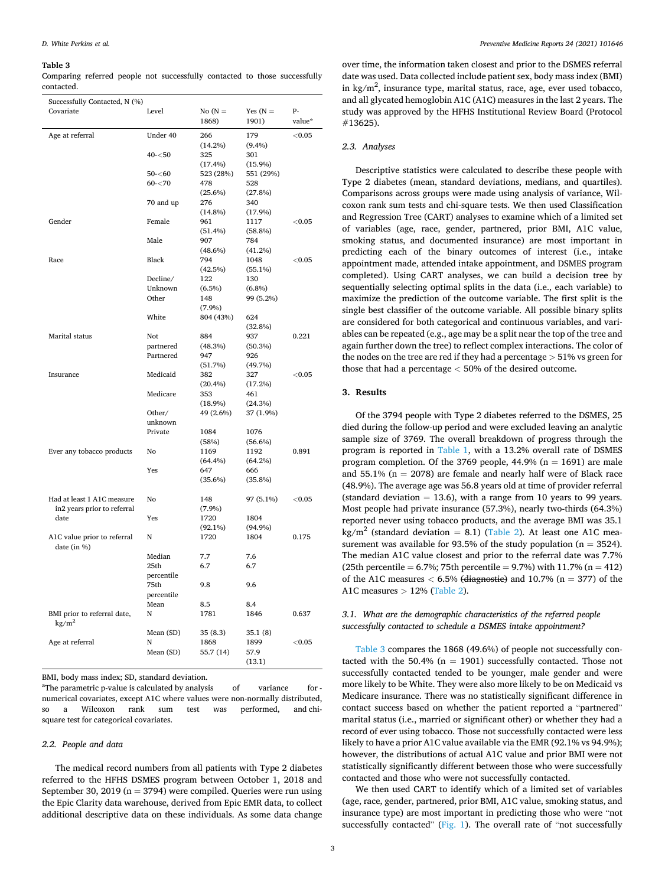|            |  | Comparing referred people not successfully contacted to those successfully |  |  |  |
|------------|--|----------------------------------------------------------------------------|--|--|--|
| contacted. |  |                                                                            |  |  |  |

| Successfully Contacted, N (%)                  |            |            |            |           |  |  |  |
|------------------------------------------------|------------|------------|------------|-----------|--|--|--|
| Covariate                                      | Level      | $No (N =$  | Yes $(N =$ | P-        |  |  |  |
|                                                |            | 1868)      | 1901)      | value*    |  |  |  |
| Age at referral                                | Under 40   | 266        | 179        | < 0.05    |  |  |  |
|                                                |            | (14.2%)    | $(9.4\%)$  |           |  |  |  |
|                                                | $40 - 50$  | 325        | 301        |           |  |  |  |
|                                                |            | (17.4%)    | $(15.9\%)$ |           |  |  |  |
|                                                | $50 - 60$  | 523 (28%)  | 551 (29%)  |           |  |  |  |
|                                                | $60 - 70$  | 478        | 528        |           |  |  |  |
|                                                |            | $(25.6\%)$ | (27.8%)    |           |  |  |  |
|                                                | 70 and up  | 276        | 340        |           |  |  |  |
|                                                |            | $(14.8\%)$ | $(17.9\%)$ |           |  |  |  |
| Gender                                         | Female     | 961        | 1117       | < 0.05    |  |  |  |
|                                                |            | (51.4%)    | $(58.8\%)$ |           |  |  |  |
|                                                | Male       | 907        | 784        |           |  |  |  |
|                                                |            | $(48.6\%)$ | (41.2%)    |           |  |  |  |
| Race                                           | Black      | 794        | 1048       | ${<}0.05$ |  |  |  |
|                                                |            | (42.5%)    | (55.1%)    |           |  |  |  |
|                                                | Decline/   | 122        | 130        |           |  |  |  |
|                                                | Unknown    | $(6.5\%)$  | $(6.8\%)$  |           |  |  |  |
|                                                | Other      | 148        | 99 (5.2%)  |           |  |  |  |
|                                                |            | (7.9%)     |            |           |  |  |  |
|                                                | White      | 804 (43%)  | 624        |           |  |  |  |
|                                                |            |            | $(32.8\%)$ |           |  |  |  |
| Marital status                                 | Not        | 884        | 937        | 0.221     |  |  |  |
|                                                | partnered  | (48.3%)    | (50.3%)    |           |  |  |  |
|                                                | Partnered  | 947        | 926        |           |  |  |  |
|                                                |            | (51.7%)    | (49.7%)    |           |  |  |  |
| Insurance                                      | Medicaid   | 382        | 327        | $<$ 0.05  |  |  |  |
|                                                |            | (20.4%)    | (17.2%)    |           |  |  |  |
|                                                | Medicare   | 353        | 461        |           |  |  |  |
|                                                |            | (18.9%)    | (24.3%)    |           |  |  |  |
|                                                | Other/     | 49 (2.6%)  | 37 (1.9%)  |           |  |  |  |
|                                                | unknown    |            |            |           |  |  |  |
|                                                | Private    | 1084       | 1076       |           |  |  |  |
|                                                |            | (58%)      | $(56.6\%)$ |           |  |  |  |
| Ever any tobacco products                      | No         | 1169       | 1192       | 0.891     |  |  |  |
|                                                |            | (64.4%)    | (64.2%)    |           |  |  |  |
|                                                | Yes        | 647        | 666        |           |  |  |  |
|                                                |            | (35.6%)    | $(35.8\%)$ |           |  |  |  |
| Had at least 1 A1C measure                     | No         | 148        | 97 (5.1%)  | ${<}0.05$ |  |  |  |
| in2 years prior to referral                    |            | (7.9%)     |            |           |  |  |  |
| date                                           | Yes        | 1720       | 1804       |           |  |  |  |
|                                                |            | $(92.1\%)$ | $(94.9\%)$ |           |  |  |  |
| A1C value prior to referral                    | N          | 1720       | 1804       | 0.175     |  |  |  |
| date (in %)                                    |            |            |            |           |  |  |  |
|                                                | Median     | 7.7        | 7.6        |           |  |  |  |
|                                                | 25th       | 6.7        | 6.7        |           |  |  |  |
|                                                | percentile |            |            |           |  |  |  |
|                                                | 75th       | 9.8        | 9.6        |           |  |  |  |
|                                                | percentile |            |            |           |  |  |  |
|                                                | Mean       | 8.5        | 8.4        |           |  |  |  |
| BMI prior to referral date,<br>$\text{kg/m}^2$ | N          | 1781       | 1846       | 0.637     |  |  |  |
|                                                | Mean (SD)  | 35(8.3)    | 35.1(8)    |           |  |  |  |
| Age at referral                                | N          | 1868       | 1899       | < 0.05    |  |  |  |
|                                                | Mean (SD)  | 55.7 (14)  | 57.9       |           |  |  |  |
|                                                |            |            | (13.1)     |           |  |  |  |

BMI, body mass index; SD, standard deviation.

<sup>a</sup>The parametric p-value is calculated by analysis of variance for numerical covariates, except A1C where values were non-normally distributed, so a Wilcoxon rank sum test was performed, and chisquare test for categorical covariates.

#### *2.2. People and data*

The medical record numbers from all patients with Type 2 diabetes referred to the HFHS DSMES program between October 1, 2018 and September 30, 2019 ( $n = 3794$ ) were compiled. Queries were run using the Epic Clarity data warehouse, derived from Epic EMR data, to collect additional descriptive data on these individuals. As some data change

over time, the information taken closest and prior to the DSMES referral date was used. Data collected include patient sex, body mass index (BMI) in kg/m<sup>2</sup> , insurance type, marital status, race, age, ever used tobacco, and all glycated hemoglobin A1C (A1C) measures in the last 2 years. The study was approved by the HFHS Institutional Review Board (Protocol #13625).

#### *2.3. Analyses*

Descriptive statistics were calculated to describe these people with Type 2 diabetes (mean, standard deviations, medians, and quartiles). Comparisons across groups were made using analysis of variance, Wilcoxon rank sum tests and chi-square tests. We then used Classification and Regression Tree (CART) analyses to examine which of a limited set of variables (age, race, gender, partnered, prior BMI, A1C value, smoking status, and documented insurance) are most important in predicting each of the binary outcomes of interest (i.e., intake appointment made, attended intake appointment, and DSMES program completed). Using CART analyses, we can build a decision tree by sequentially selecting optimal splits in the data (i.e., each variable) to maximize the prediction of the outcome variable. The first split is the single best classifier of the outcome variable. All possible binary splits are considered for both categorical and continuous variables, and variables can be repeated (e.g., age may be a split near the top of the tree and again further down the tree) to reflect complex interactions. The color of the nodes on the tree are red if they had a percentage *>* 51% vs green for those that had a percentage *<* 50% of the desired outcome.

#### **3. Results**

Of the 3794 people with Type 2 diabetes referred to the DSMES, 25 died during the follow-up period and were excluded leaving an analytic sample size of 3769. The overall breakdown of progress through the program is reported in [Table 1,](#page-2-0) with a 13.2% overall rate of DSMES program completion. Of the 3769 people, 44.9% ( $n = 1691$ ) are male and  $55.1\%$  (n = 2078) are female and nearly half were of Black race (48.9%). The average age was 56.8 years old at time of provider referral (standard deviation  $= 13.6$ ), with a range from 10 years to 99 years. Most people had private insurance (57.3%), nearly two-thirds (64.3%) reported never using tobacco products, and the average BMI was 35.1 kg/m<sup>2</sup> (standard deviation = 8.1) [\(Table 2](#page-2-0)). At least one A1C measurement was available for 93.5% of the study population ( $n = 3524$ ). The median A1C value closest and prior to the referral date was 7.7% (25th percentile  $= 6.7\%$ ; 75th percentile  $= 9.7\%$ ) with 11.7% (n  $= 412$ ) of the A1C measures *<* 6.5% (diagnostic) and 10.7% (n = 377) of the A1C measures *>* 12% ([Table 2](#page-2-0)).

#### *3.1. What are the demographic characteristics of the referred people successfully contacted to schedule a DSMES intake appointment?*

Table 3 compares the 1868 (49.6%) of people not successfully contacted with the 50.4% ( $n = 1901$ ) successfully contacted. Those not successfully contacted tended to be younger, male gender and were more likely to be White. They were also more likely to be on Medicaid vs Medicare insurance. There was no statistically significant difference in contact success based on whether the patient reported a "partnered" marital status (i.e., married or significant other) or whether they had a record of ever using tobacco. Those not successfully contacted were less likely to have a prior A1C value available via the EMR (92.1% vs 94.9%); however, the distributions of actual A1C value and prior BMI were not statistically significantly different between those who were successfully contacted and those who were not successfully contacted.

We then used CART to identify which of a limited set of variables (age, race, gender, partnered, prior BMI, A1C value, smoking status, and insurance type) are most important in predicting those who were "not successfully contacted" ([Fig. 1\)](#page-4-0). The overall rate of "not successfully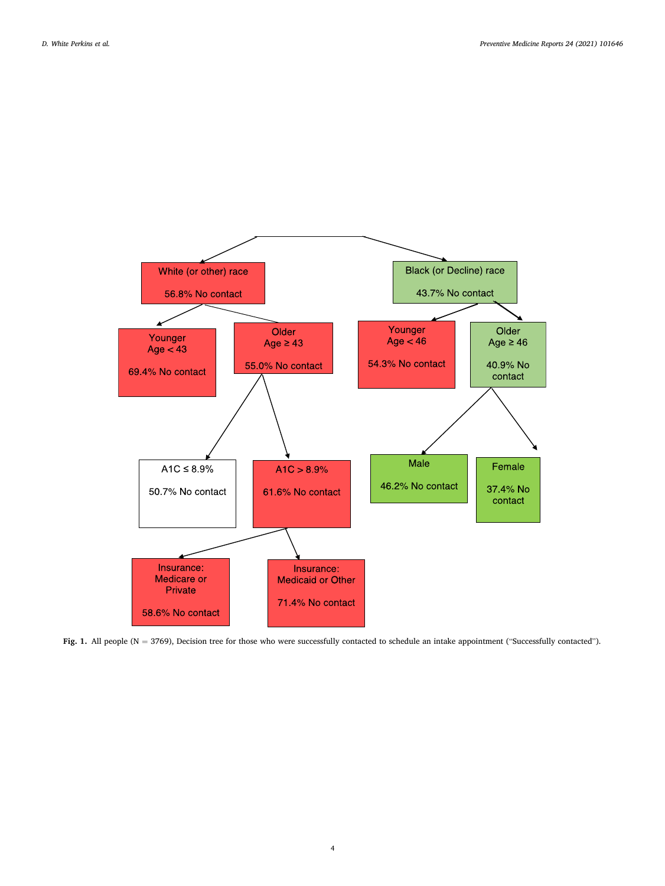<span id="page-4-0"></span>

Fig. 1. All people (N = 3769), Decision tree for those who were successfully contacted to schedule an intake appointment ("Successfully contacted").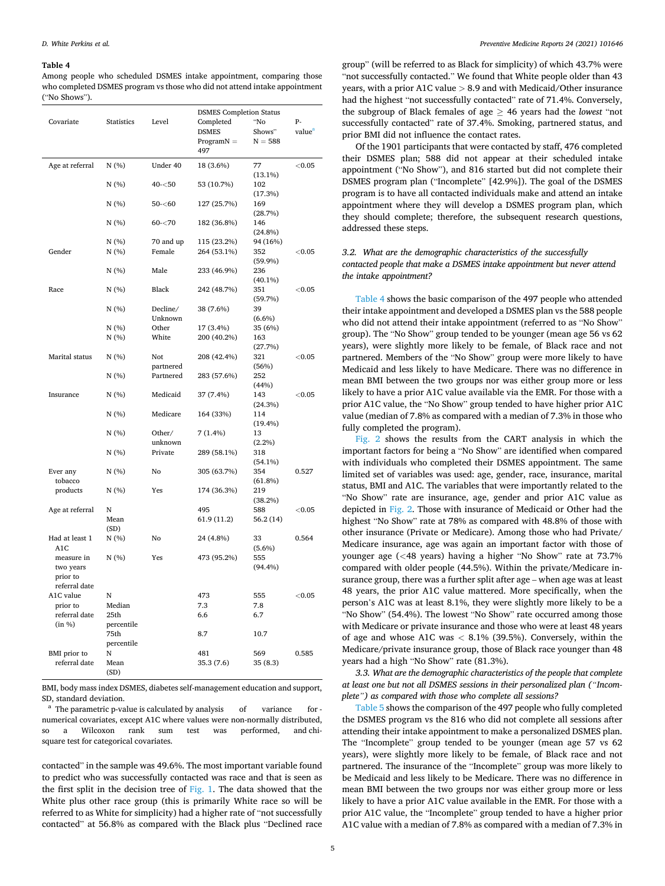Among people who scheduled DSMES intake appointment, comparing those who completed DSMES program vs those who did not attend intake appointment ("No Shows").

|                     |            |           | <b>DSMES Completion Status</b> |                |                    |
|---------------------|------------|-----------|--------------------------------|----------------|--------------------|
| Covariate           | Statistics | Level     | Completed                      | "No            | p.                 |
|                     |            |           | <b>DSMES</b>                   | Shows"         | value <sup>a</sup> |
|                     |            |           | $ProgramN =$                   | $N = 588$      |                    |
|                     |            |           | 497                            |                |                    |
| Age at referral     | N (%)      | Under 40  | 18 (3.6%)                      | 77             | < 0.05             |
|                     |            |           |                                | (13.1%)        |                    |
|                     | N (%)      | $40 - 50$ | 53 (10.7%)                     | 102            |                    |
|                     |            |           |                                | (17.3%)        |                    |
|                     | N (%)      | $50 - 60$ | 127 (25.7%)                    | 169            |                    |
|                     |            |           |                                | (28.7%)        |                    |
|                     | N (%)      | $60 - 70$ | 182 (36.8%)                    | 146            |                    |
|                     |            |           |                                | (24.8%)        |                    |
|                     | N(%)       | 70 and up | 115 (23.2%)                    | 94 (16%)       |                    |
| Gender              | N (%)      | Female    | 264 (53.1%)                    | 352            | ${<}0.05$          |
|                     |            |           |                                | (59.9%)        |                    |
|                     | N (%)      | Male      | 233 (46.9%)                    | 236            |                    |
|                     |            |           |                                | $(40.1\%)$     |                    |
| Race                | N (%)      | Black     | 242 (48.7%)                    | 351            | ${<}0.05$          |
|                     |            |           |                                | (59.7%)        |                    |
|                     | N (%)      | Decline/  | 38 (7.6%)                      | 39             |                    |
|                     |            | Unknown   |                                | $(6.6\%)$      |                    |
|                     | N (%)      | Other     | 17 (3.4%)                      | 35 (6%)        |                    |
|                     | N (%)      | White     | 200 (40.2%)                    | 163            |                    |
|                     |            |           |                                | (27.7%)        |                    |
| Marital status      | N(%)       | Not       | 208 (42.4%)                    | 321            | < 0.05             |
|                     |            | partnered |                                | (56%)          |                    |
|                     | N (%)      | Partnered | 283 (57.6%)                    | 252            |                    |
|                     |            |           |                                | (44%)          |                    |
| Insurance           | N (%)      | Medicaid  | 37 (7.4%)                      | 143            | $<$ 0.05           |
|                     |            |           |                                | (24.3%)        |                    |
|                     | N (%)      | Medicare  | 164 (33%)                      | 114            |                    |
|                     |            |           |                                | $(19.4\%)$     |                    |
|                     | N (%)      | Other/    | $7(1.4\%)$                     | 13             |                    |
|                     |            | unknown   |                                | $(2.2\%)$      |                    |
|                     | N(%)       | Private   | 289 (58.1%)                    | 318<br>(54.1%) |                    |
| Ever any            | N (%)      | No        | 305 (63.7%)                    | 354            | 0.527              |
| tobacco             |            |           |                                | (61.8%)        |                    |
| products            | N (%)      | Yes       | 174 (36.3%)                    | 219            |                    |
|                     |            |           |                                | (38.2%)        |                    |
| Age at referral     | N          |           | 495                            | 588            | < 0.05             |
|                     | Mean       |           | 61.9 (11.2)                    | 56.2(14)       |                    |
|                     | (SD)       |           |                                |                |                    |
| Had at least 1      | N (%)      | No        | 24 (4.8%)                      | 33             | 0.564              |
| A1C                 |            |           |                                | $(5.6\%)$      |                    |
| measure in          | N (%)      | Yes       | 473 (95.2%)                    | 555            |                    |
| two years           |            |           |                                | (94.4%)        |                    |
| prior to            |            |           |                                |                |                    |
| referral date       |            |           |                                |                |                    |
| A1C value           | N          |           | 473                            | 555            | < 0.05             |
| prior to            | Median     |           | 7.3                            | 7.8            |                    |
| referral date       | 25th       |           | 6.6                            | 6.7            |                    |
| (in %)              | percentile |           |                                |                |                    |
|                     | 75th       |           | 8.7                            | 10.7           |                    |
|                     | percentile |           |                                |                |                    |
| <b>BMI</b> prior to | N          |           | 481                            | 569            | 0.585              |
| referral date       | Mean       |           | 35.3 (7.6)                     | 35(8.3)        |                    |
|                     | (SD)       |           |                                |                |                    |

BMI, body mass index DSMES, diabetes self-management education and support, SD, standard deviation.<br><sup>a</sup> The parametric p-value is calculated by analysis of variance for -

numerical covariates, except A1C where values were non-normally distributed, a Wilcoxon rank sum test was performed, and chisquare test for categorical covariates.

contacted" in the sample was 49.6%. The most important variable found to predict who was successfully contacted was race and that is seen as the first split in the decision tree of [Fig. 1.](#page-4-0) The data showed that the White plus other race group (this is primarily White race so will be referred to as White for simplicity) had a higher rate of "not successfully contacted" at 56.8% as compared with the Black plus "Declined race group" (will be referred to as Black for simplicity) of which 43.7% were "not successfully contacted." We found that White people older than 43 years, with a prior A1C value *>* 8.9 and with Medicaid/Other insurance had the highest "not successfully contacted" rate of 71.4%. Conversely, the subgroup of Black females of age  $\geq$  46 years had the *lowest* "not successfully contacted" rate of 37.4%. Smoking, partnered status, and prior BMI did not influence the contact rates.

Of the 1901 participants that were contacted by staff, 476 completed their DSMES plan; 588 did not appear at their scheduled intake appointment ("No Show"), and 816 started but did not complete their DSMES program plan ("Incomplete" [42.9%]). The goal of the DSMES program is to have all contacted individuals make and attend an intake appointment where they will develop a DSMES program plan, which they should complete; therefore, the subsequent research questions, addressed these steps.

#### *3.2. What are the demographic characteristics of the successfully contacted people that make a DSMES intake appointment but never attend the intake appointment?*

Table 4 shows the basic comparison of the 497 people who attended their intake appointment and developed a DSMES plan vs the 588 people who did not attend their intake appointment (referred to as "No Show" group). The "No Show" group tended to be younger (mean age 56 vs 62 years), were slightly more likely to be female, of Black race and not partnered. Members of the "No Show" group were more likely to have Medicaid and less likely to have Medicare. There was no difference in mean BMI between the two groups nor was either group more or less likely to have a prior A1C value available via the EMR. For those with a prior A1C value, the "No Show" group tended to have higher prior A1C value (median of 7.8% as compared with a median of 7.3% in those who fully completed the program).

[Fig. 2](#page-6-0) shows the results from the CART analysis in which the important factors for being a "No Show" are identified when compared with individuals who completed their DSMES appointment. The same limited set of variables was used: age, gender, race, insurance, marital status, BMI and A1C. The variables that were importantly related to the "No Show" rate are insurance, age, gender and prior A1C value as depicted in [Fig. 2](#page-6-0). Those with insurance of Medicaid or Other had the highest "No Show" rate at 78% as compared with 48.8% of those with other insurance (Private or Medicare). Among those who had Private/ Medicare insurance, age was again an important factor with those of younger age (*<*48 years) having a higher "No Show" rate at 73.7% compared with older people (44.5%). Within the private/Medicare insurance group, there was a further split after age – when age was at least 48 years, the prior A1C value mattered. More specifically, when the person's A1C was at least 8.1%, they were slightly more likely to be a "No Show" (54.4%). The lowest "No Show" rate occurred among those with Medicare or private insurance and those who were at least 48 years of age and whose A1C was *<* 8.1% (39.5%). Conversely, within the Medicare/private insurance group, those of Black race younger than 48 years had a high "No Show" rate (81.3%).

*3.3. What are the demographic characteristics of the people that complete at least one but not all DSMES sessions in their personalized plan ("Incomplete") as compared with those who complete all sessions?* 

[Table 5](#page-7-0) shows the comparison of the 497 people who fully completed the DSMES program vs the 816 who did not complete all sessions after attending their intake appointment to make a personalized DSMES plan. The "Incomplete" group tended to be younger (mean age 57 vs 62 years), were slightly more likely to be female, of Black race and not partnered. The insurance of the "Incomplete" group was more likely to be Medicaid and less likely to be Medicare. There was no difference in mean BMI between the two groups nor was either group more or less likely to have a prior A1C value available in the EMR. For those with a prior A1C value, the "Incomplete" group tended to have a higher prior A1C value with a median of 7.8% as compared with a median of 7.3% in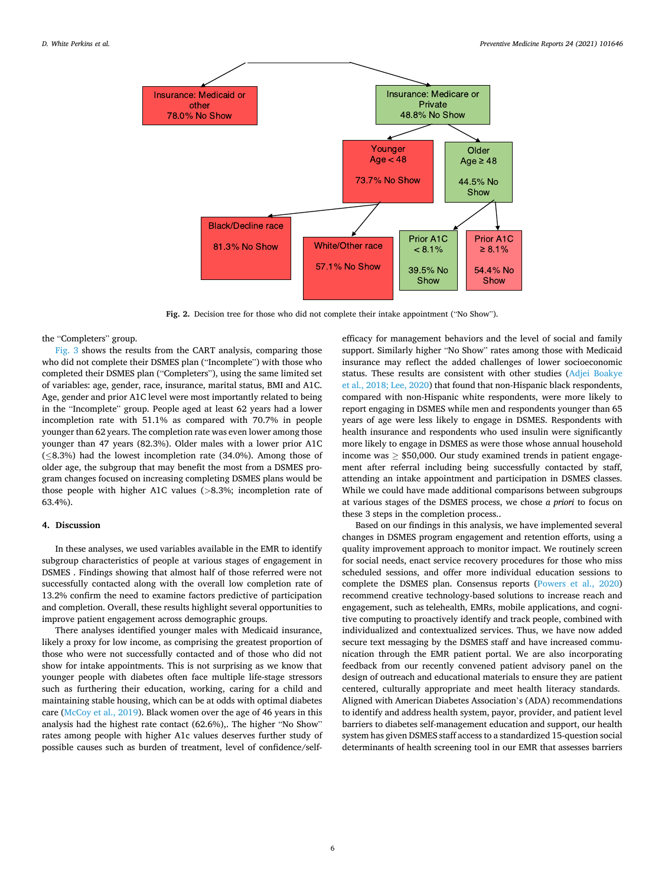<span id="page-6-0"></span>

**Fig. 2.** Decision tree for those who did not complete their intake appointment ("No Show").

#### the "Completers" group.

[Fig. 3](#page-8-0) shows the results from the CART analysis, comparing those who did not complete their DSMES plan ("Incomplete") with those who completed their DSMES plan ("Completers"), using the same limited set of variables: age, gender, race, insurance, marital status, BMI and A1C. Age, gender and prior A1C level were most importantly related to being in the "Incomplete" group. People aged at least 62 years had a lower incompletion rate with 51.1% as compared with 70.7% in people younger than 62 years. The completion rate was even lower among those younger than 47 years (82.3%). Older males with a lower prior A1C (≤8.3%) had the lowest incompletion rate (34.0%). Among those of older age, the subgroup that may benefit the most from a DSMES program changes focused on increasing completing DSMES plans would be those people with higher A1C values (*>*8.3%; incompletion rate of 63.4%).

#### **4. Discussion**

In these analyses, we used variables available in the EMR to identify subgroup characteristics of people at various stages of engagement in DSMES . Findings showing that almost half of those referred were not successfully contacted along with the overall low completion rate of 13.2% confirm the need to examine factors predictive of participation and completion. Overall, these results highlight several opportunities to improve patient engagement across demographic groups.

There analyses identified younger males with Medicaid insurance, likely a proxy for low income, as comprising the greatest proportion of those who were not successfully contacted and of those who did not show for intake appointments. This is not surprising as we know that younger people with diabetes often face multiple life-stage stressors such as furthering their education, working, caring for a child and maintaining stable housing, which can be at odds with optimal diabetes care ([McCoy et al., 2019\)](#page-8-0). Black women over the age of 46 years in this analysis had the highest rate contact (62.6%),. The higher "No Show" rates among people with higher A1c values deserves further study of possible causes such as burden of treatment, level of confidence/selfefficacy for management behaviors and the level of social and family support. Similarly higher "No Show" rates among those with Medicaid insurance may reflect the added challenges of lower socioeconomic status. These results are consistent with other studies ([Adjei Boakye](#page-8-0)  [et al., 2018; Lee, 2020](#page-8-0)) that found that non-Hispanic black respondents, compared with non-Hispanic white respondents, were more likely to report engaging in DSMES while men and respondents younger than 65 years of age were less likely to engage in DSMES. Respondents with health insurance and respondents who used insulin were significantly more likely to engage in DSMES as were those whose annual household income was  $>$  \$50,000. Our study examined trends in patient engagement after referral including being successfully contacted by staff, attending an intake appointment and participation in DSMES classes. While we could have made additional comparisons between subgroups at various stages of the DSMES process, we chose *a priori* to focus on these 3 steps in the completion process..

Based on our findings in this analysis, we have implemented several changes in DSMES program engagement and retention efforts, using a quality improvement approach to monitor impact. We routinely screen for social needs, enact service recovery procedures for those who miss scheduled sessions, and offer more individual education sessions to complete the DSMES plan. Consensus reports ([Powers et al., 2020\)](#page-8-0) recommend creative technology-based solutions to increase reach and engagement, such as telehealth, EMRs, mobile applications, and cognitive computing to proactively identify and track people, combined with individualized and contextualized services. Thus, we have now added secure text messaging by the DSMES staff and have increased communication through the EMR patient portal. We are also incorporating feedback from our recently convened patient advisory panel on the design of outreach and educational materials to ensure they are patient centered, culturally appropriate and meet health literacy standards. Aligned with American Diabetes Association's (ADA) recommendations to identify and address health system, payor, provider, and patient level barriers to diabetes self-management education and support, our health system has given DSMES staff access to a standardized 15-question social determinants of health screening tool in our EMR that assesses barriers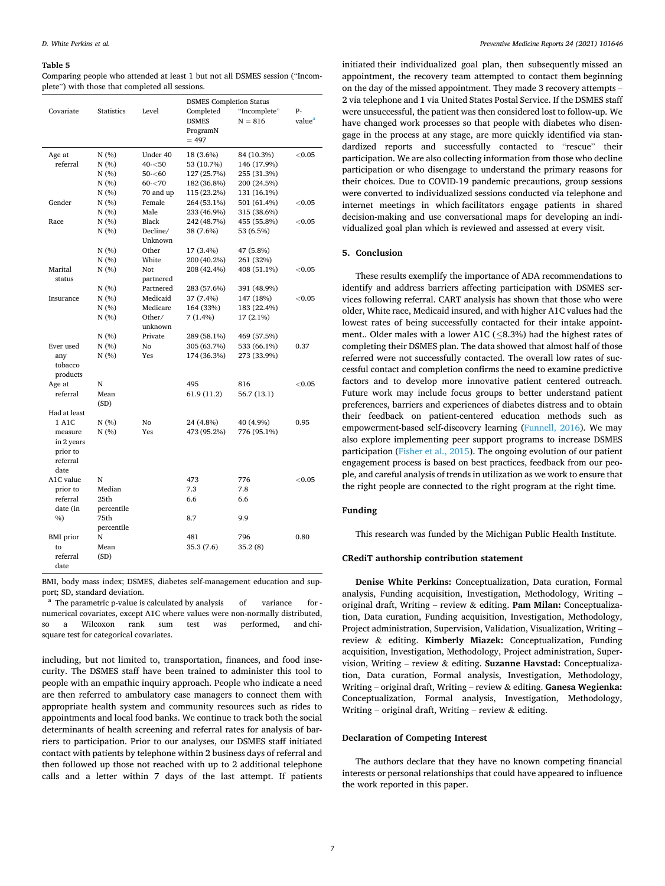<span id="page-7-0"></span>Comparing people who attended at least 1 but not all DSMES session ("Incomplete") with those that completed all sessions.

|                  |                   |           | <b>DSMES Completion Status</b> |              |                    |
|------------------|-------------------|-----------|--------------------------------|--------------|--------------------|
| Covariate        | <b>Statistics</b> | Level     | Completed                      | "Incomplete" | $P -$              |
|                  |                   |           | <b>DSMES</b>                   | $N = 816$    | value <sup>a</sup> |
|                  |                   |           | ProgramN                       |              |                    |
|                  |                   |           | $= 497$                        |              |                    |
| Age at           | N(% )             | Under 40  | 18 (3.6%)                      | 84 (10.3%)   | < 0.05             |
| referral         | N(%)              | $40 - 50$ | 53 (10.7%)                     | 146 (17.9%)  |                    |
|                  | N (%)             | $50 - 60$ | 127 (25.7%)                    | 255 (31.3%)  |                    |
|                  | N(%)              | $60 - 70$ | 182 (36.8%)                    | 200 (24.5%)  |                    |
|                  | N (%)             | 70 and up | 115 (23.2%)                    | 131 (16.1%)  |                    |
| Gender           | N (%)             | Female    | 264 (53.1%)                    | 501 (61.4%)  | ${<}0.05$          |
|                  | N (%)             | Male      | 233 (46.9%)                    | 315 (38.6%)  |                    |
| Race             | N (%)             | Black     | 242 (48.7%)                    | 455 (55.8%)  | ${<}0.05$          |
|                  | N (%)             | Decline/  | 38 (7.6%)                      | 53 (6.5%)    |                    |
|                  |                   | Unknown   |                                |              |                    |
|                  | N(%)              | Other     | 17 (3.4%)                      | 47 (5.8%)    |                    |
|                  | N (%)             | White     | 200 (40.2%)                    | 261 (32%)    |                    |
| Marital          | N (%)             | Not       | 208 (42.4%)                    | 408 (51.1%)  | $<$ 0.05           |
| status           |                   | partnered |                                |              |                    |
|                  | N (%)             | Partnered | 283 (57.6%)                    | 391 (48.9%)  |                    |
| Insurance        | N(%)              | Medicaid  | 37 (7.4%)                      | 147 (18%)    | ${<}0.05$          |
|                  | N (%)             | Medicare  | 164 (33%)                      | 183 (22.4%)  |                    |
|                  | N (%)             | Other/    | 7 (1.4%)                       | 17 (2.1%)    |                    |
|                  |                   | unknown   |                                |              |                    |
|                  | N (%)             | Private   | 289 (58.1%)                    | 469 (57.5%)  |                    |
| Ever used        | N (%)             | No        | 305 (63.7%)                    | 533 (66.1%)  | 0.37               |
| any              | N (%)             | Yes       | 174 (36.3%)                    | 273 (33.9%)  |                    |
| tobacco          |                   |           |                                |              |                    |
| products         |                   |           |                                |              |                    |
| Age at           | N                 |           | 495                            | 816          | ${<}0.05$          |
| referral         | Mean              |           | 61.9 (11.2)                    | 56.7 (13.1)  |                    |
|                  | (SD)              |           |                                |              |                    |
| Had at least     |                   |           |                                |              |                    |
| 1 A1C            | N (%)             | No        | 24 (4.8%)                      | 40 (4.9%)    | 0.95               |
| measure          | N(%)              | Yes       | 473 (95.2%)                    | 776 (95.1%)  |                    |
| in 2 years       |                   |           |                                |              |                    |
| prior to         |                   |           |                                |              |                    |
| referral         |                   |           |                                |              |                    |
| date             |                   |           |                                |              |                    |
| A1C value        | N                 |           | 473                            | 776          | < 0.05             |
| prior to         | Median            |           | 7.3                            | 7.8          |                    |
| referral         | 25th              |           | 6.6                            | 6.6          |                    |
| date (in         | percentile        |           |                                |              |                    |
| %                | 75th              |           | 8.7                            | 9.9          |                    |
|                  | percentile        |           |                                |              |                    |
| <b>BMI</b> prior | N                 |           | 481                            | 796          | 0.80               |
| to               | Mean              |           | 35.3 (7.6)                     | 35.2(8)      |                    |
| referral         | (SD)              |           |                                |              |                    |
| date             |                   |           |                                |              |                    |

BMI, body mass index; DSMES, diabetes self-management education and support; SD, standard deviation.<br><sup>a</sup> The parametric p-value is calculated by analysis of variance for -

numerical covariates, except A1C where values were non-normally distributed, so a Wilcoxon rank sum test was performed, and chisquare test for categorical covariates.

including, but not limited to, transportation, finances, and food insecurity. The DSMES staff have been trained to administer this tool to people with an empathic inquiry approach. People who indicate a need are then referred to ambulatory case managers to connect them with appropriate health system and community resources such as rides to appointments and local food banks. We continue to track both the social determinants of health screening and referral rates for analysis of barriers to participation. Prior to our analyses, our DSMES staff initiated contact with patients by telephone within 2 business days of referral and then followed up those not reached with up to 2 additional telephone calls and a letter within 7 days of the last attempt. If patients

initiated their individualized goal plan, then subsequently missed an appointment, the recovery team attempted to contact them beginning on the day of the missed appointment. They made 3 recovery attempts – 2 via telephone and 1 via United States Postal Service. If the DSMES staff were unsuccessful, the patient was then considered lost to follow-up. We have changed work processes so that people with diabetes who disengage in the process at any stage, are more quickly identified via standardized reports and successfully contacted to "rescue" their participation. We are also collecting information from those who decline participation or who disengage to understand the primary reasons for their choices. Due to COVID-19 pandemic precautions, group sessions were converted to individualized sessions conducted via telephone and internet meetings in which facilitators engage patients in shared decision-making and use conversational maps for developing an individualized goal plan which is reviewed and assessed at every visit.

#### **5. Conclusion**

These results exemplify the importance of ADA recommendations to identify and address barriers affecting participation with DSMES services following referral. CART analysis has shown that those who were older, White race, Medicaid insured, and with higher A1C values had the lowest rates of being successfully contacted for their intake appointment.. Older males with a lower A1C (≤8.3%) had the highest rates of completing their DSMES plan. The data showed that almost half of those referred were not successfully contacted. The overall low rates of successful contact and completion confirms the need to examine predictive factors and to develop more innovative patient centered outreach. Future work may include focus groups to better understand patient preferences, barriers and experiences of diabetes distress and to obtain their feedback on patient-centered education methods such as empowerment-based self-discovery learning ([Funnell, 2016\)](#page-8-0). We may also explore implementing peer support programs to increase DSMES participation [\(Fisher et al., 2015\)](#page-8-0). The ongoing evolution of our patient engagement process is based on best practices, feedback from our people, and careful analysis of trends in utilization as we work to ensure that the right people are connected to the right program at the right time.

#### **Funding**

This research was funded by the Michigan Public Health Institute.

#### **CRediT authorship contribution statement**

**Denise White Perkins:** Conceptualization, Data curation, Formal analysis, Funding acquisition, Investigation, Methodology, Writing – original draft, Writing – review & editing. **Pam Milan:** Conceptualization, Data curation, Funding acquisition, Investigation, Methodology, Project administration, Supervision, Validation, Visualization, Writing – review & editing. **Kimberly Miazek:** Conceptualization, Funding acquisition, Investigation, Methodology, Project administration, Supervision, Writing – review & editing. **Suzanne Havstad:** Conceptualization, Data curation, Formal analysis, Investigation, Methodology, Writing – original draft, Writing – review & editing. **Ganesa Wegienka:**  Conceptualization, Formal analysis, Investigation, Methodology, Writing – original draft, Writing – review  $\&$  editing.

#### **Declaration of Competing Interest**

The authors declare that they have no known competing financial interests or personal relationships that could have appeared to influence the work reported in this paper.